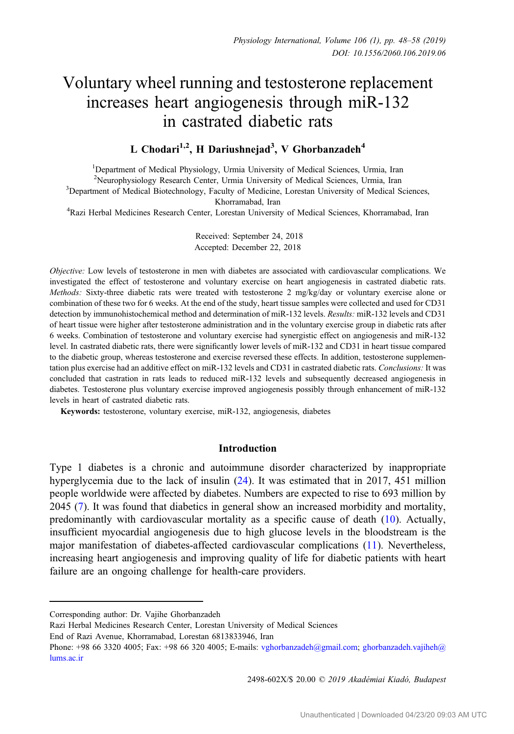# Voluntary wheel running and testosterone replacement increases heart angiogenesis through miR-132 in castrated diabetic rats

# L Chodari<sup>1,2</sup>, H Dariushnejad<sup>3</sup>, V Ghorbanzadeh<sup>4</sup>

<sup>1</sup>Department of Medical Physiology, Urmia University of Medical Sciences, Urmia, Iran <sup>2</sup> Neurophysiology Research Center, Urmia University of Medical Sciences, Urmia, Iran <sup>3</sup><br><sup>3</sup> Department of Medical Biotechnology, Faculty of Medicine, Lorestan University of Medical S <sup>3</sup>Department of Medical Biotechnology, Faculty of Medicine, Lorestan University of Medical Sciences, Khorramabad, Iran<br><sup>4</sup>Razi Herbal Medicines Research Center, Lorestan University of Medical Sciences, Khorramabad, Iran

Received: September 24, 2018 Accepted: December 22, 2018

Objective: Low levels of testosterone in men with diabetes are associated with cardiovascular complications. We investigated the effect of testosterone and voluntary exercise on heart angiogenesis in castrated diabetic rats. Methods: Sixty-three diabetic rats were treated with testosterone 2 mg/kg/day or voluntary exercise alone or combination of these two for 6 weeks. At the end of the study, heart tissue samples were collected and used for CD31 detection by immunohistochemical method and determination of miR-132 levels. Results: miR-132 levels and CD31 of heart tissue were higher after testosterone administration and in the voluntary exercise group in diabetic rats after 6 weeks. Combination of testosterone and voluntary exercise had synergistic effect on angiogenesis and miR-132 level. In castrated diabetic rats, there were significantly lower levels of miR-132 and CD31 in heart tissue compared to the diabetic group, whereas testosterone and exercise reversed these effects. In addition, testosterone supplementation plus exercise had an additive effect on miR-132 levels and CD31 in castrated diabetic rats. Conclusions: It was concluded that castration in rats leads to reduced miR-132 levels and subsequently decreased angiogenesis in diabetes. Testosterone plus voluntary exercise improved angiogenesis possibly through enhancement of miR-132 levels in heart of castrated diabetic rats.

Keywords: testosterone, voluntary exercise, miR-132, angiogenesis, diabetes

# Introduction

Type 1 diabetes is a chronic and autoimmune disorder characterized by inappropriate hyperglycemia due to the lack of insulin ([24\)](#page-9-0). It was estimated that in 2017, 451 million people worldwide were affected by diabetes. Numbers are expected to rise to 693 million by 2045 [\(7](#page-8-0)). It was found that diabetics in general show an increased morbidity and mortality, predominantly with cardiovascular mortality as a specific cause of death [\(10](#page-8-0)). Actually, insufficient myocardial angiogenesis due to high glucose levels in the bloodstream is the major manifestation of diabetes-affected cardiovascular complications ([11\)](#page-8-0). Nevertheless, increasing heart angiogenesis and improving quality of life for diabetic patients with heart failure are an ongoing challenge for health-care providers.

2498-602X/\$ 20.00 © 2019 Akadémiai Kiadó, Budapest

Corresponding author: Dr. Vajihe Ghorbanzadeh

Razi Herbal Medicines Research Center, Lorestan University of Medical Sciences

End of Razi Avenue, Khorramabad, Lorestan 6813833946, Iran

Phone: +98 66 3320 4005; Fax: +98 66 320 4005; E-mails: [vghorbanzadeh@gmail.com](mailto:vghorbanzadeh@gmail.com); [ghorbanzadeh.vajiheh@](mailto:ghorbanzadeh.vajiheh@lums.ac.ir) [lums.ac.ir](mailto:ghorbanzadeh.vajiheh@lums.ac.ir)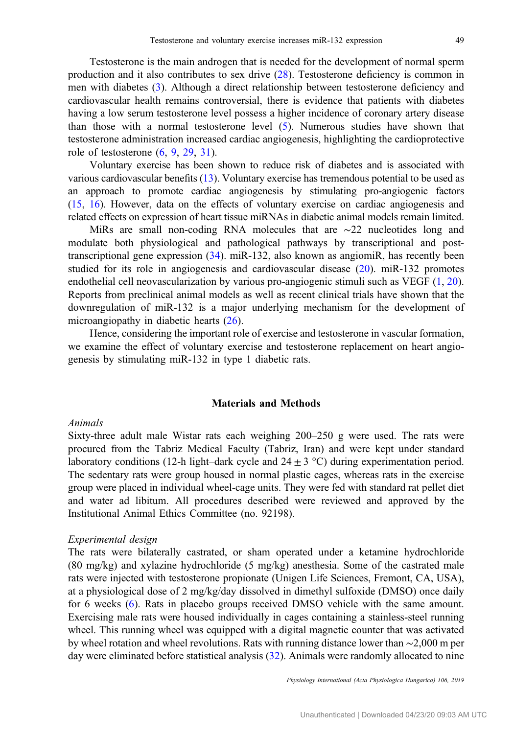Testosterone is the main androgen that is needed for the development of normal sperm production and it also contributes to sex drive [\(28](#page-9-0)). Testosterone deficiency is common in men with diabetes [\(3](#page-8-0)). Although a direct relationship between testosterone deficiency and cardiovascular health remains controversial, there is evidence that patients with diabetes having a low serum testosterone level possess a higher incidence of coronary artery disease than those with a normal testosterone level ([5\)](#page-8-0). Numerous studies have shown that testosterone administration increased cardiac angiogenesis, highlighting the cardioprotective role of testosterone ([6,](#page-8-0) [9,](#page-8-0) [29,](#page-9-0) [31\)](#page-9-0).

Voluntary exercise has been shown to reduce risk of diabetes and is associated with various cardiovascular benefits [\(13\)](#page-9-0). Voluntary exercise has tremendous potential to be used as an approach to promote cardiac angiogenesis by stimulating pro-angiogenic factors [\(15,](#page-9-0) [16\)](#page-9-0). However, data on the effects of voluntary exercise on cardiac angiogenesis and related effects on expression of heart tissue miRNAs in diabetic animal models remain limited.

MiRs are small non-coding RNA molecules that are ∼22 nucleotides long and modulate both physiological and pathological pathways by transcriptional and posttranscriptional gene expression [\(34](#page-10-0)). miR-132, also known as angiomiR, has recently been studied for its role in angiogenesis and cardiovascular disease ([20\)](#page-9-0). miR-132 promotes endothelial cell neovascularization by various pro-angiogenic stimuli such as VEGF [\(1](#page-8-0), [20](#page-9-0)). Reports from preclinical animal models as well as recent clinical trials have shown that the downregulation of miR-132 is a major underlying mechanism for the development of microangiopathy in diabetic hearts [\(26](#page-9-0)).

Hence, considering the important role of exercise and testosterone in vascular formation, we examine the effect of voluntary exercise and testosterone replacement on heart angiogenesis by stimulating miR-132 in type 1 diabetic rats.

# Materials and Methods

#### Animals

Sixty-three adult male Wistar rats each weighing 200–250 g were used. The rats were procured from the Tabriz Medical Faculty (Tabriz, Iran) and were kept under standard laboratory conditions (12-h light–dark cycle and  $24 \pm 3$  °C) during experimentation period. The sedentary rats were group housed in normal plastic cages, whereas rats in the exercise group were placed in individual wheel-cage units. They were fed with standard rat pellet diet and water ad libitum. All procedures described were reviewed and approved by the Institutional Animal Ethics Committee (no. 92198).

### Experimental design

The rats were bilaterally castrated, or sham operated under a ketamine hydrochloride (80 mg/kg) and xylazine hydrochloride (5 mg/kg) anesthesia. Some of the castrated male rats were injected with testosterone propionate (Unigen Life Sciences, Fremont, CA, USA), at a physiological dose of 2 mg/kg/day dissolved in dimethyl sulfoxide (DMSO) once daily for 6 weeks [\(6](#page-8-0)). Rats in placebo groups received DMSO vehicle with the same amount. Exercising male rats were housed individually in cages containing a stainless-steel running wheel. This running wheel was equipped with a digital magnetic counter that was activated by wheel rotation and wheel revolutions. Rats with running distance lower than ∼2,000 m per day were eliminated before statistical analysis [\(32](#page-9-0)). Animals were randomly allocated to nine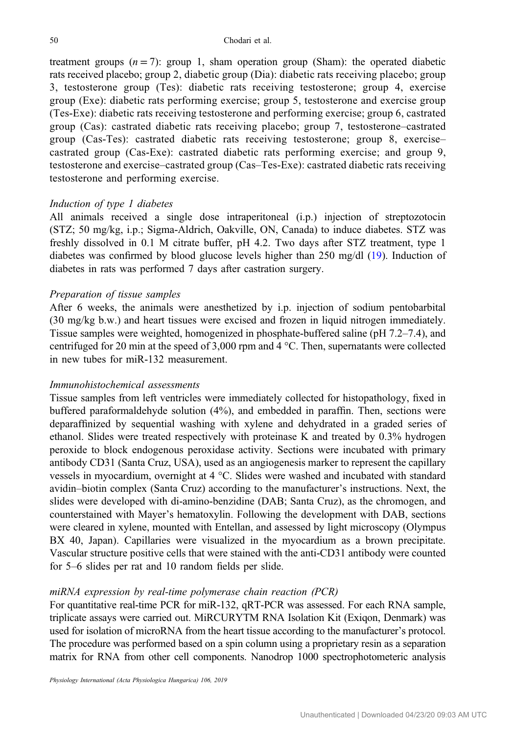treatment groups  $(n = 7)$ : group 1, sham operation group (Sham): the operated diabetic rats received placebo; group 2, diabetic group (Dia): diabetic rats receiving placebo; group 3, testosterone group (Tes): diabetic rats receiving testosterone; group 4, exercise group (Exe): diabetic rats performing exercise; group 5, testosterone and exercise group (Tes-Exe): diabetic rats receiving testosterone and performing exercise; group 6, castrated group (Cas): castrated diabetic rats receiving placebo; group 7, testosterone–castrated group (Cas-Tes): castrated diabetic rats receiving testosterone; group 8, exercise– castrated group (Cas-Exe): castrated diabetic rats performing exercise; and group 9, testosterone and exercise–castrated group (Cas–Tes-Exe): castrated diabetic rats receiving testosterone and performing exercise.

#### Induction of type 1 diabetes

All animals received a single dose intraperitoneal (i.p.) injection of streptozotocin (STZ; 50 mg/kg, i.p.; Sigma-Aldrich, Oakville, ON, Canada) to induce diabetes. STZ was freshly dissolved in 0.1 M citrate buffer, pH 4.2. Two days after STZ treatment, type 1 diabetes was confirmed by blood glucose levels higher than 250 mg/dl ([19\)](#page-9-0). Induction of diabetes in rats was performed 7 days after castration surgery.

#### Preparation of tissue samples

After 6 weeks, the animals were anesthetized by i.p. injection of sodium pentobarbital (30 mg/kg b.w.) and heart tissues were excised and frozen in liquid nitrogen immediately. Tissue samples were weighted, homogenized in phosphate-buffered saline (pH 7.2–7.4), and centrifuged for 20 min at the speed of 3,000 rpm and 4 °C. Then, supernatants were collected in new tubes for miR-132 measurement.

# Immunohistochemical assessments

Tissue samples from left ventricles were immediately collected for histopathology, fixed in buffered paraformaldehyde solution (4%), and embedded in paraffin. Then, sections were deparaffinized by sequential washing with xylene and dehydrated in a graded series of ethanol. Slides were treated respectively with proteinase K and treated by 0.3% hydrogen peroxide to block endogenous peroxidase activity. Sections were incubated with primary antibody CD31 (Santa Cruz, USA), used as an angiogenesis marker to represent the capillary vessels in myocardium, overnight at 4 °C. Slides were washed and incubated with standard avidin–biotin complex (Santa Cruz) according to the manufacturer's instructions. Next, the slides were developed with di-amino-benzidine (DAB; Santa Cruz), as the chromogen, and counterstained with Mayer's hematoxylin. Following the development with DAB, sections were cleared in xylene, mounted with Entellan, and assessed by light microscopy (Olympus BX 40, Japan). Capillaries were visualized in the myocardium as a brown precipitate. Vascular structure positive cells that were stained with the anti-CD31 antibody were counted for 5–6 slides per rat and 10 random fields per slide.

# miRNA expression by real-time polymerase chain reaction (PCR)

For quantitative real-time PCR for miR-132, qRT-PCR was assessed. For each RNA sample, triplicate assays were carried out. MiRCURYTM RNA Isolation Kit (Exiqon, Denmark) was used for isolation of microRNA from the heart tissue according to the manufacturer's protocol. The procedure was performed based on a spin column using a proprietary resin as a separation matrix for RNA from other cell components. Nanodrop 1000 spectrophotometeric analysis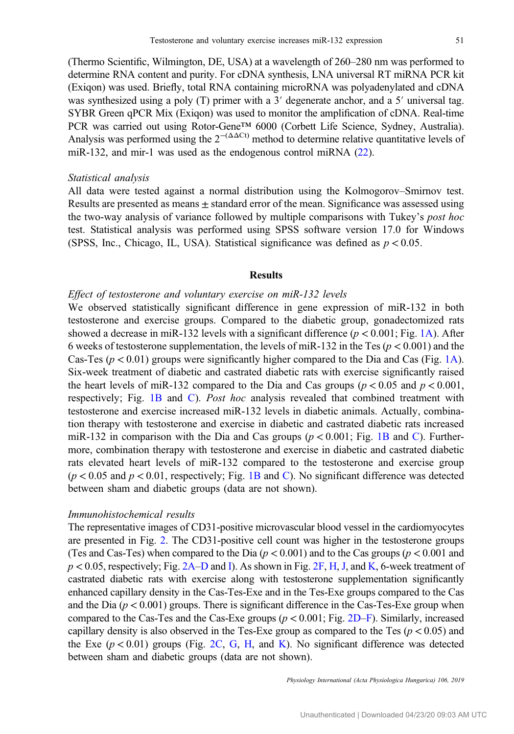(Thermo Scientific, Wilmington, DE, USA) at a wavelength of 260–280 nm was performed to determine RNA content and purity. For cDNA synthesis, LNA universal RT miRNA PCR kit (Exiqon) was used. Briefly, total RNA containing microRNA was polyadenylated and cDNA was synthesized using a poly (T) primer with a 3′ degenerate anchor, and a 5′ universal tag. SYBR Green qPCR Mix (Exiqon) was used to monitor the amplification of cDNA. Real-time PCR was carried out using Rotor-Gene™ 6000 (Corbett Life Science, Sydney, Australia). Analysis was performed using the  $2^{-(\Delta \Delta Ct)}$  method to determine relative quantitative levels of miR-132, and mir-1 was used as the endogenous control miRNA [\(22](#page-9-0)).

#### Statistical analysis

All data were tested against a normal distribution using the Kolmogorov–Smirnov test. Results are presented as means  $\pm$  standard error of the mean. Significance was assessed using the two-way analysis of variance followed by multiple comparisons with Tukey's post hoc test. Statistical analysis was performed using SPSS software version 17.0 for Windows (SPSS, Inc., Chicago, IL, USA). Statistical significance was defined as  $p < 0.05$ .

# Results

# Effect of testosterone and voluntary exercise on miR-132 levels

We observed statistically significant difference in gene expression of miR-132 in both testosterone and exercise groups. Compared to the diabetic group, gonadectomized rats showed a decrease in miR-132 levels with a significant difference  $(p < 0.001$ ; Fig. [1A](#page-4-0)). After 6 weeks of testosterone supplementation, the levels of miR-132 in the Tes ( $p < 0.001$ ) and the Cas-Tes ( $p < 0.01$ ) groups were significantly higher compared to the Dia and Cas (Fig. [1A](#page-4-0)). Six-week treatment of diabetic and castrated diabetic rats with exercise significantly raised the heart levels of miR-132 compared to the Dia and Cas groups ( $p < 0.05$  and  $p < 0.001$ , respectively; Fig. [1B](#page-4-0) and [C\)](#page-4-0). Post hoc analysis revealed that combined treatment with testosterone and exercise increased miR-132 levels in diabetic animals. Actually, combination therapy with testosterone and exercise in diabetic and castrated diabetic rats increased miR-132 in comparison with the Dia and Cas groups ( $p < 0.001$ ; Fig. [1B](#page-4-0) and [C\)](#page-4-0). Furthermore, combination therapy with testosterone and exercise in diabetic and castrated diabetic rats elevated heart levels of miR-132 compared to the testosterone and exercise group  $(p < 0.05$  and  $p < 0.01$ , respectively; Fig. [1B](#page-4-0) and [C](#page-4-0)). No significant difference was detected between sham and diabetic groups (data are not shown).

### Immunohistochemical results

The representative images of CD31-positive microvascular blood vessel in the cardiomyocytes are presented in Fig. [2](#page-5-0). The CD31-positive cell count was higher in the testosterone groups (Tes and Cas-Tes) when compared to the Dia ( $p < 0.001$ ) and to the Cas groups ( $p < 0.001$  and  $p < 0.05$ , respectively; Fig. [2A](#page-5-0)–[D](#page-5-0) and [I](#page-5-0)). As shown in Fig. [2F](#page-5-0), [H,](#page-5-0) [J](#page-5-0), and [K](#page-5-0), 6-week treatment of castrated diabetic rats with exercise along with testosterone supplementation significantly enhanced capillary density in the Cas-Tes-Exe and in the Tes-Exe groups compared to the Cas and the Dia  $(p < 0.001)$  groups. There is significant difference in the Cas-Tes-Exe group when compared to the Cas-Tes and the Cas-Exe groups  $(p < 0.001;$  Fig. [2D](#page-5-0)–[F\)](#page-5-0). Similarly, increased capillary density is also observed in the Tes-Exe group as compared to the Tes  $(p < 0.05)$  and the Exe  $(p < 0.01)$  groups (Fig. [2C](#page-5-0), [G,](#page-5-0) [H](#page-5-0), and [K](#page-5-0)). No significant difference was detected between sham and diabetic groups (data are not shown).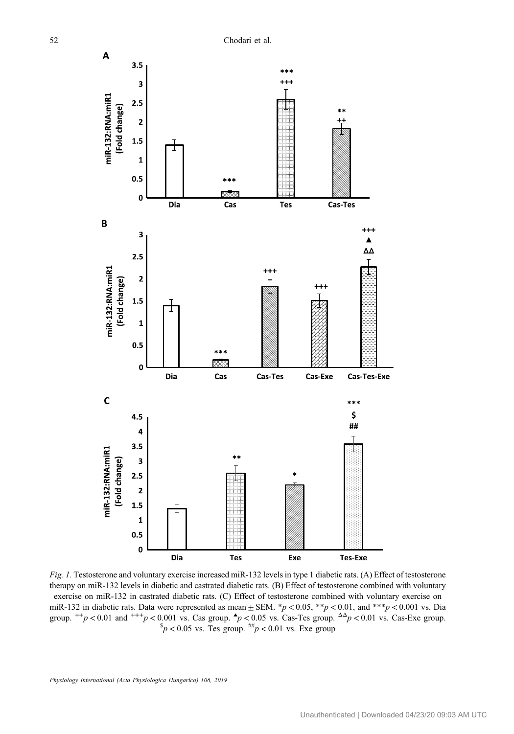<span id="page-4-0"></span>

Fig. 1. Testosterone and voluntary exercise increased miR-132 levels in type 1 diabetic rats. (A) Effect of testosterone therapy on miR-132 levels in diabetic and castrated diabetic rats. (B) Effect of testosterone combined with voluntary exercise on miR-132 in castrated diabetic rats. (C) Effect of testosterone combined with voluntary exercise on miR-132 in diabetic rats. Data were represented as mean  $\pm$  SEM.  $*p$  < 0.05,  $**p$  < 0.01, and  $***p$  < 0.001 vs. Dia group.  $^{++}p$  < 0.01 and  $^{++}p$  < 0.001 vs. Cas group.  $^{4}p$  < 0.05 vs. Cas-Tes group.  $^{4\Delta}p$  < 0.01 vs. Cas-Exe group.  $^{8}p$  < 0.05 vs. Tes group.  $^{#}p$  < 0.01 vs. Exe group.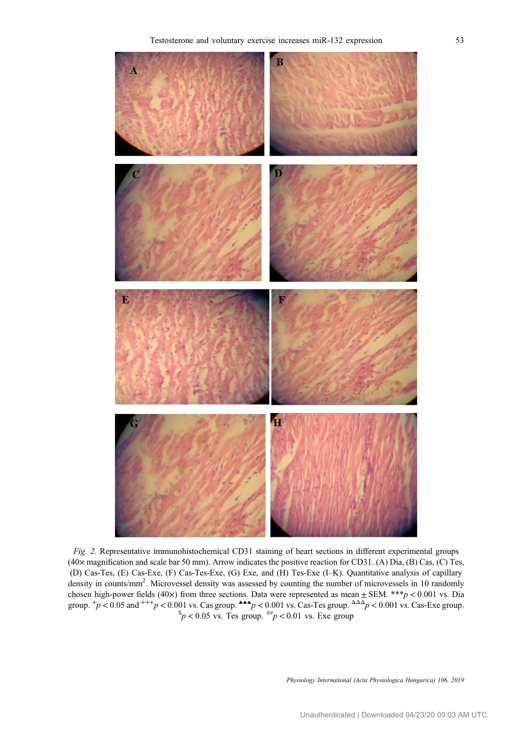<span id="page-5-0"></span>

Fig. 2. Representative immunohistochemical CD31 staining of heart sections in different experimental groups (40× magnification and scale bar 50 mm). Arrow indicates the positive reaction for CD31. (A) Dia, (B) Cas, (C) Tes, (D) Cas-Tes, (E) Cas-Exe, (F) Cas-Tes-Exe, (G) Exe, and (H) Tes-Exe (I–K). Quantitative analysis of capillary density in counts/mm<sup>2</sup>. Microvessel density was assessed by counting the number of microvessels in 10 randomly chosen high-power fields (40×) from three sections. Data were represented as mean  $\pm$  SEM. \*\*\*p < 0.001 vs. Dia group.  ${}^+p$  < 0.05 and  ${}^{+++p}$  < 0.001 vs. Cas group.  ${}^{\triangle\triangle}p$  < 0.001 vs. Cas-Tes group.  ${}^{\triangle\triangle}\rho$  < 0.001 vs. Cas-Exe group.<br>  ${}^{\$}p$  < 0.05 vs. Tes group.  ${}^{+\#}p$  < 0.01 vs. Exe group

Physiology International (Acta Physiologica Hungarica) 106, 2019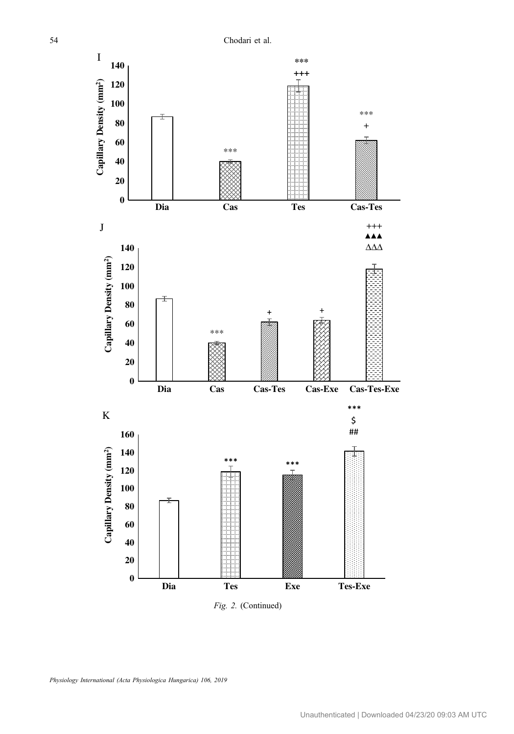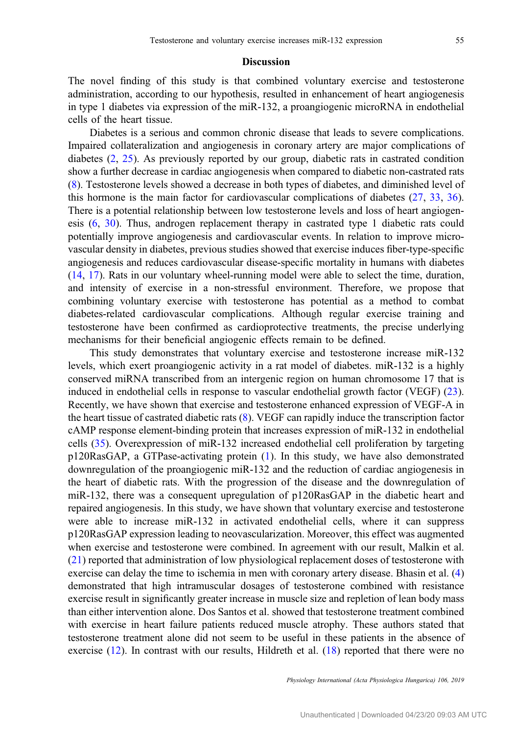# **Discussion**

The novel finding of this study is that combined voluntary exercise and testosterone administration, according to our hypothesis, resulted in enhancement of heart angiogenesis in type 1 diabetes via expression of the miR-132, a proangiogenic microRNA in endothelial cells of the heart tissue.

Diabetes is a serious and common chronic disease that leads to severe complications. Impaired collateralization and angiogenesis in coronary artery are major complications of diabetes [\(2](#page-8-0), [25](#page-9-0)). As previously reported by our group, diabetic rats in castrated condition show a further decrease in cardiac angiogenesis when compared to diabetic non-castrated rats [\(8](#page-8-0)). Testosterone levels showed a decrease in both types of diabetes, and diminished level of this hormone is the main factor for cardiovascular complications of diabetes [\(27](#page-9-0), [33](#page-9-0), [36](#page-10-0)). There is a potential relationship between low testosterone levels and loss of heart angiogenesis [\(6](#page-8-0), [30](#page-9-0)). Thus, androgen replacement therapy in castrated type 1 diabetic rats could potentially improve angiogenesis and cardiovascular events. In relation to improve microvascular density in diabetes, previous studies showed that exercise induces fiber-type-specific angiogenesis and reduces cardiovascular disease-specific mortality in humans with diabetes [\(14](#page-9-0), [17\)](#page-9-0). Rats in our voluntary wheel-running model were able to select the time, duration, and intensity of exercise in a non-stressful environment. Therefore, we propose that combining voluntary exercise with testosterone has potential as a method to combat diabetes-related cardiovascular complications. Although regular exercise training and testosterone have been confirmed as cardioprotective treatments, the precise underlying mechanisms for their beneficial angiogenic effects remain to be defined.

This study demonstrates that voluntary exercise and testosterone increase miR-132 levels, which exert proangiogenic activity in a rat model of diabetes. miR-132 is a highly conserved miRNA transcribed from an intergenic region on human chromosome 17 that is induced in endothelial cells in response to vascular endothelial growth factor (VEGF) [\(23](#page-9-0)). Recently, we have shown that exercise and testosterone enhanced expression of VEGF-A in the heart tissue of castrated diabetic rats ([8\)](#page-8-0). VEGF can rapidly induce the transcription factor cAMP response element-binding protein that increases expression of miR-132 in endothelial cells ([35\)](#page-10-0). Overexpression of miR-132 increased endothelial cell proliferation by targeting p120RasGAP, a GTPase-activating protein [\(1](#page-8-0)). In this study, we have also demonstrated downregulation of the proangiogenic miR-132 and the reduction of cardiac angiogenesis in the heart of diabetic rats. With the progression of the disease and the downregulation of miR-132, there was a consequent upregulation of p120RasGAP in the diabetic heart and repaired angiogenesis. In this study, we have shown that voluntary exercise and testosterone were able to increase miR-132 in activated endothelial cells, where it can suppress p120RasGAP expression leading to neovascularization. Moreover, this effect was augmented when exercise and testosterone were combined. In agreement with our result, Malkin et al. [\(21](#page-9-0)) reported that administration of low physiological replacement doses of testosterone with exercise can delay the time to ischemia in men with coronary artery disease. Bhasin et al. ([4\)](#page-8-0) demonstrated that high intramuscular dosages of testosterone combined with resistance exercise result in significantly greater increase in muscle size and repletion of lean body mass than either intervention alone. Dos Santos et al. showed that testosterone treatment combined with exercise in heart failure patients reduced muscle atrophy. These authors stated that testosterone treatment alone did not seem to be useful in these patients in the absence of exercise [\(12](#page-8-0)). In contrast with our results, Hildreth et al. [\(18\)](#page-9-0) reported that there were no

Physiology International (Acta Physiologica Hungarica) 106, 2019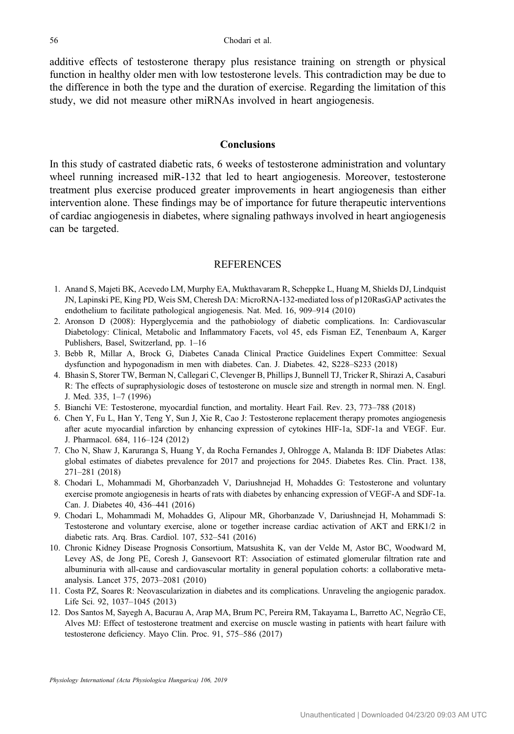<span id="page-8-0"></span>additive effects of testosterone therapy plus resistance training on strength or physical function in healthy older men with low testosterone levels. This contradiction may be due to the difference in both the type and the duration of exercise. Regarding the limitation of this study, we did not measure other miRNAs involved in heart angiogenesis.

#### **Conclusions**

In this study of castrated diabetic rats, 6 weeks of testosterone administration and voluntary wheel running increased miR-132 that led to heart angiogenesis. Moreover, testosterone treatment plus exercise produced greater improvements in heart angiogenesis than either intervention alone. These findings may be of importance for future therapeutic interventions of cardiac angiogenesis in diabetes, where signaling pathways involved in heart angiogenesis can be targeted.

#### REFERENCES

- 1. Anand S, Majeti BK, Acevedo LM, Murphy EA, Mukthavaram R, Scheppke L, Huang M, Shields DJ, Lindquist JN, Lapinski PE, King PD, Weis SM, Cheresh DA: MicroRNA-132-mediated loss of p120RasGAP activates the endothelium to facilitate pathological angiogenesis. Nat. Med. 16, 909–914 (2010)
- 2. Aronson D (2008): Hyperglycemia and the pathobiology of diabetic complications. In: Cardiovascular Diabetology: Clinical, Metabolic and Inflammatory Facets, vol 45, eds Fisman EZ, Tenenbaum A, Karger Publishers, Basel, Switzerland, pp. 1–16
- 3. Bebb R, Millar A, Brock G, Diabetes Canada Clinical Practice Guidelines Expert Committee: Sexual dysfunction and hypogonadism in men with diabetes. Can. J. Diabetes. 42, S228–S233 (2018)
- 4. Bhasin S, Storer TW, Berman N, Callegari C, Clevenger B, Phillips J, Bunnell TJ, Tricker R, Shirazi A, Casaburi R: The effects of supraphysiologic doses of testosterone on muscle size and strength in normal men. N. Engl. J. Med. 335, 1–7 (1996)
- 5. Bianchi VE: Testosterone, myocardial function, and mortality. Heart Fail. Rev. 23, 773–788 (2018)
- 6. Chen Y, Fu L, Han Y, Teng Y, Sun J, Xie R, Cao J: Testosterone replacement therapy promotes angiogenesis after acute myocardial infarction by enhancing expression of cytokines HIF-1a, SDF-1a and VEGF. Eur. J. Pharmacol. 684, 116–124 (2012)
- 7. Cho N, Shaw J, Karuranga S, Huang Y, da Rocha Fernandes J, Ohlrogge A, Malanda B: IDF Diabetes Atlas: global estimates of diabetes prevalence for 2017 and projections for 2045. Diabetes Res. Clin. Pract. 138, 271–281 (2018)
- 8. Chodari L, Mohammadi M, Ghorbanzadeh V, Dariushnejad H, Mohaddes G: Testosterone and voluntary exercise promote angiogenesis in hearts of rats with diabetes by enhancing expression of VEGF-A and SDF-1a. Can. J. Diabetes 40, 436–441 (2016)
- 9. Chodari L, Mohammadi M, Mohaddes G, Alipour MR, Ghorbanzade V, Dariushnejad H, Mohammadi S: Testosterone and voluntary exercise, alone or together increase cardiac activation of AKT and ERK1/2 in diabetic rats. Arq. Bras. Cardiol. 107, 532–541 (2016)
- 10. Chronic Kidney Disease Prognosis Consortium, Matsushita K, van der Velde M, Astor BC, Woodward M, Levey AS, de Jong PE, Coresh J, Gansevoort RT: Association of estimated glomerular filtration rate and albuminuria with all-cause and cardiovascular mortality in general population cohorts: a collaborative metaanalysis. Lancet 375, 2073–2081 (2010)
- 11. Costa PZ, Soares R: Neovascularization in diabetes and its complications. Unraveling the angiogenic paradox. Life Sci. 92, 1037–1045 (2013)
- 12. Dos Santos M, Sayegh A, Bacurau A, Arap MA, Brum PC, Pereira RM, Takayama L, Barretto AC, Negrão CE, Alves MJ: Effect of testosterone treatment and exercise on muscle wasting in patients with heart failure with testosterone deficiency. Mayo Clin. Proc. 91, 575–586 (2017)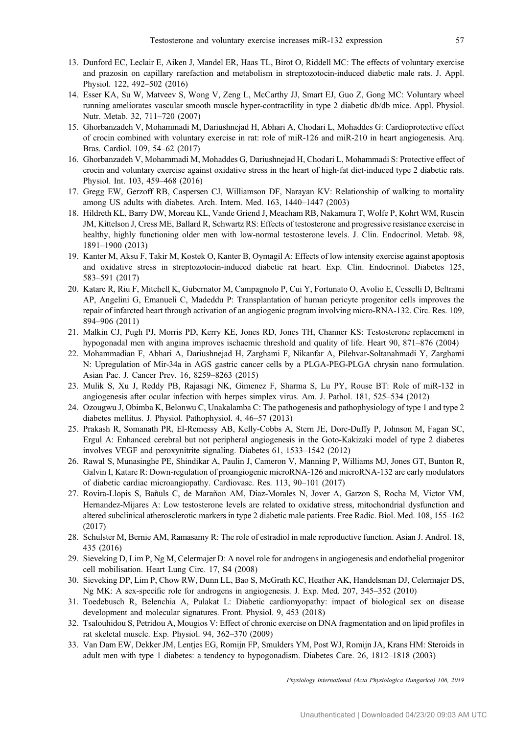- <span id="page-9-0"></span>13. Dunford EC, Leclair E, Aiken J, Mandel ER, Haas TL, Birot O, Riddell MC: The effects of voluntary exercise and prazosin on capillary rarefaction and metabolism in streptozotocin-induced diabetic male rats. J. Appl. Physiol. 122, 492–502 (2016)
- 14. Esser KA, Su W, Matveev S, Wong V, Zeng L, McCarthy JJ, Smart EJ, Guo Z, Gong MC: Voluntary wheel running ameliorates vascular smooth muscle hyper-contractility in type 2 diabetic db/db mice. Appl. Physiol. Nutr. Metab. 32, 711–720 (2007)
- 15. Ghorbanzadeh V, Mohammadi M, Dariushnejad H, Abhari A, Chodari L, Mohaddes G: Cardioprotective effect of crocin combined with voluntary exercise in rat: role of miR-126 and miR-210 in heart angiogenesis. Arq. Bras. Cardiol. 109, 54–62 (2017)
- 16. Ghorbanzadeh V, Mohammadi M, Mohaddes G, Dariushnejad H, Chodari L, Mohammadi S: Protective effect of crocin and voluntary exercise against oxidative stress in the heart of high-fat diet-induced type 2 diabetic rats. Physiol. Int. 103, 459–468 (2016)
- 17. Gregg EW, Gerzoff RB, Caspersen CJ, Williamson DF, Narayan KV: Relationship of walking to mortality among US adults with diabetes. Arch. Intern. Med. 163, 1440–1447 (2003)
- 18. Hildreth KL, Barry DW, Moreau KL, Vande Griend J, Meacham RB, Nakamura T, Wolfe P, Kohrt WM, Ruscin JM, Kittelson J, Cress ME, Ballard R, Schwartz RS: Effects of testosterone and progressive resistance exercise in healthy, highly functioning older men with low-normal testosterone levels. J. Clin. Endocrinol. Metab. 98, 1891–1900 (2013)
- 19. Kanter M, Aksu F, Takir M, Kostek O, Kanter B, Oymagil A: Effects of low intensity exercise against apoptosis and oxidative stress in streptozotocin-induced diabetic rat heart. Exp. Clin. Endocrinol. Diabetes 125, 583–591 (2017)
- 20. Katare R, Riu F, Mitchell K, Gubernator M, Campagnolo P, Cui Y, Fortunato O, Avolio E, Cesselli D, Beltrami AP, Angelini G, Emanueli C, Madeddu P: Transplantation of human pericyte progenitor cells improves the repair of infarcted heart through activation of an angiogenic program involving micro-RNA-132. Circ. Res. 109, 894–906 (2011)
- 21. Malkin CJ, Pugh PJ, Morris PD, Kerry KE, Jones RD, Jones TH, Channer KS: Testosterone replacement in hypogonadal men with angina improves ischaemic threshold and quality of life. Heart 90, 871–876 (2004)
- 22. Mohammadian F, Abhari A, Dariushnejad H, Zarghami F, Nikanfar A, Pilehvar-Soltanahmadi Y, Zarghami N: Upregulation of Mir-34a in AGS gastric cancer cells by a PLGA-PEG-PLGA chrysin nano formulation. Asian Pac. J. Cancer Prev. 16, 8259–8263 (2015)
- 23. Mulik S, Xu J, Reddy PB, Rajasagi NK, Gimenez F, Sharma S, Lu PY, Rouse BT: Role of miR-132 in angiogenesis after ocular infection with herpes simplex virus. Am. J. Pathol. 181, 525–534 (2012)
- 24. Ozougwu J, Obimba K, Belonwu C, Unakalamba C: The pathogenesis and pathophysiology of type 1 and type 2 diabetes mellitus. J. Physiol. Pathophysiol. 4, 46–57 (2013)
- 25. Prakash R, Somanath PR, El-Remessy AB, Kelly-Cobbs A, Stern JE, Dore-Duffy P, Johnson M, Fagan SC, Ergul A: Enhanced cerebral but not peripheral angiogenesis in the Goto-Kakizaki model of type 2 diabetes involves VEGF and peroxynitrite signaling. Diabetes 61, 1533–1542 (2012)
- 26. Rawal S, Munasinghe PE, Shindikar A, Paulin J, Cameron V, Manning P, Williams MJ, Jones GT, Bunton R, Galvin I, Katare R: Down-regulation of proangiogenic microRNA-126 and microRNA-132 are early modulators of diabetic cardiac microangiopathy. Cardiovasc. Res. 113, 90–101 (2017)
- 27. Rovira-Llopis S, Bañuls C, de Marañon AM, Diaz-Morales N, Jover A, Garzon S, Rocha M, Victor VM, Hernandez-Mijares A: Low testosterone levels are related to oxidative stress, mitochondrial dysfunction and altered subclinical atherosclerotic markers in type 2 diabetic male patients. Free Radic. Biol. Med. 108, 155–162 (2017)
- 28. Schulster M, Bernie AM, Ramasamy R: The role of estradiol in male reproductive function. Asian J. Androl. 18, 435 (2016)
- 29. Sieveking D, Lim P, Ng M, Celermajer D: A novel role for androgens in angiogenesis and endothelial progenitor cell mobilisation. Heart Lung Circ. 17, S4 (2008)
- 30. Sieveking DP, Lim P, Chow RW, Dunn LL, Bao S, McGrath KC, Heather AK, Handelsman DJ, Celermajer DS, Ng MK: A sex-specific role for androgens in angiogenesis. J. Exp. Med. 207, 345–352 (2010)
- 31. Toedebusch R, Belenchia A, Pulakat L: Diabetic cardiomyopathy: impact of biological sex on disease development and molecular signatures. Front. Physiol. 9, 453 (2018)
- 32. Tsalouhidou S, Petridou A, Mougios V: Effect of chronic exercise on DNA fragmentation and on lipid profiles in rat skeletal muscle. Exp. Physiol. 94, 362–370 (2009)
- 33. Van Dam EW, Dekker JM, Lentjes EG, Romijn FP, Smulders YM, Post WJ, Romijn JA, Krans HM: Steroids in adult men with type 1 diabetes: a tendency to hypogonadism. Diabetes Care. 26, 1812–1818 (2003)